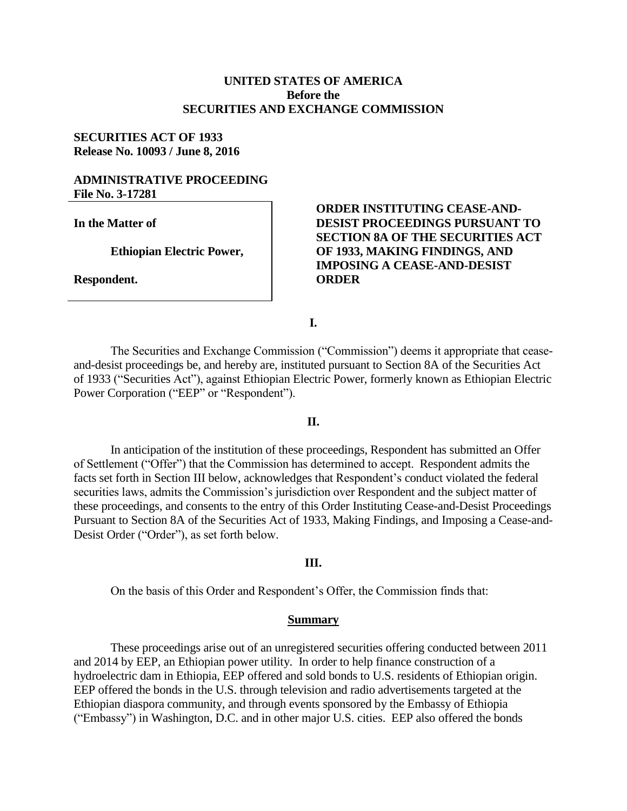# **UNITED STATES OF AMERICA Before the SECURITIES AND EXCHANGE COMMISSION**

## **SECURITIES ACT OF 1933 Release No. 10093 / June 8, 2016**

# **ADMINISTRATIVE PROCEEDING File No. 3-17281**

**In the Matter of**

**Ethiopian Electric Power,**

**Respondent.**

**ORDER INSTITUTING CEASE-AND-DESIST PROCEEDINGS PURSUANT TO SECTION 8A OF THE SECURITIES ACT OF 1933, MAKING FINDINGS, AND IMPOSING A CEASE-AND-DESIST ORDER**

**I.**

The Securities and Exchange Commission ("Commission") deems it appropriate that ceaseand-desist proceedings be, and hereby are, instituted pursuant to Section 8A of the Securities Act of 1933 ("Securities Act"), against Ethiopian Electric Power, formerly known as Ethiopian Electric Power Corporation ("EEP" or "Respondent").

## **II.**

In anticipation of the institution of these proceedings, Respondent has submitted an Offer of Settlement ("Offer") that the Commission has determined to accept. Respondent admits the facts set forth in Section III below, acknowledges that Respondent's conduct violated the federal securities laws, admits the Commission's jurisdiction over Respondent and the subject matter of these proceedings, and consents to the entry of this Order Instituting Cease-and-Desist Proceedings Pursuant to Section 8A of the Securities Act of 1933, Making Findings, and Imposing a Cease-and-Desist Order ("Order"), as set forth below.

#### **III.**

On the basis of this Order and Respondent's Offer, the Commission finds that:

#### **Summary**

These proceedings arise out of an unregistered securities offering conducted between 2011 and 2014 by EEP, an Ethiopian power utility. In order to help finance construction of a hydroelectric dam in Ethiopia, EEP offered and sold bonds to U.S. residents of Ethiopian origin. EEP offered the bonds in the U.S. through television and radio advertisements targeted at the Ethiopian diaspora community, and through events sponsored by the Embassy of Ethiopia ("Embassy") in Washington, D.C. and in other major U.S. cities. EEP also offered the bonds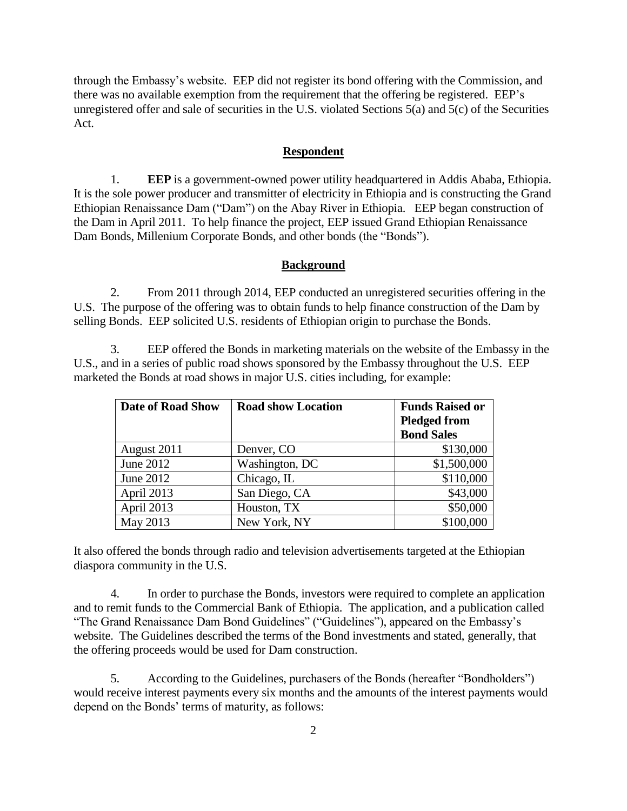through the Embassy's website. EEP did not register its bond offering with the Commission, and there was no available exemption from the requirement that the offering be registered. EEP's unregistered offer and sale of securities in the U.S. violated Sections  $5\alpha$ ) and  $5(c)$  of the Securities Act.

## **Respondent**

1. **EEP** is a government-owned power utility headquartered in Addis Ababa, Ethiopia. It is the sole power producer and transmitter of electricity in Ethiopia and is constructing the Grand Ethiopian Renaissance Dam ("Dam") on the Abay River in Ethiopia. EEP began construction of the Dam in April 2011. To help finance the project, EEP issued Grand Ethiopian Renaissance Dam Bonds, Millenium Corporate Bonds, and other bonds (the "Bonds").

### **Background**

2. From 2011 through 2014, EEP conducted an unregistered securities offering in the U.S. The purpose of the offering was to obtain funds to help finance construction of the Dam by selling Bonds. EEP solicited U.S. residents of Ethiopian origin to purchase the Bonds.

3. EEP offered the Bonds in marketing materials on the website of the Embassy in the U.S., and in a series of public road shows sponsored by the Embassy throughout the U.S. EEP marketed the Bonds at road shows in major U.S. cities including, for example:

| <b>Date of Road Show</b> | <b>Road show Location</b> | <b>Funds Raised or</b> |
|--------------------------|---------------------------|------------------------|
|                          |                           | <b>Pledged from</b>    |
|                          |                           | <b>Bond Sales</b>      |
| August 2011              | Denver, CO                | \$130,000              |
| June 2012                | Washington, DC            | \$1,500,000            |
| June 2012                | Chicago, IL               | \$110,000              |
| April 2013               | San Diego, CA             | \$43,000               |
| April 2013               | Houston, TX               | \$50,000               |
| May 2013                 | New York, NY              | \$100,000              |

It also offered the bonds through radio and television advertisements targeted at the Ethiopian diaspora community in the U.S.

4. In order to purchase the Bonds, investors were required to complete an application and to remit funds to the Commercial Bank of Ethiopia. The application, and a publication called "The Grand Renaissance Dam Bond Guidelines" ("Guidelines"), appeared on the Embassy's website. The Guidelines described the terms of the Bond investments and stated, generally, that the offering proceeds would be used for Dam construction.

5. According to the Guidelines, purchasers of the Bonds (hereafter "Bondholders") would receive interest payments every six months and the amounts of the interest payments would depend on the Bonds' terms of maturity, as follows: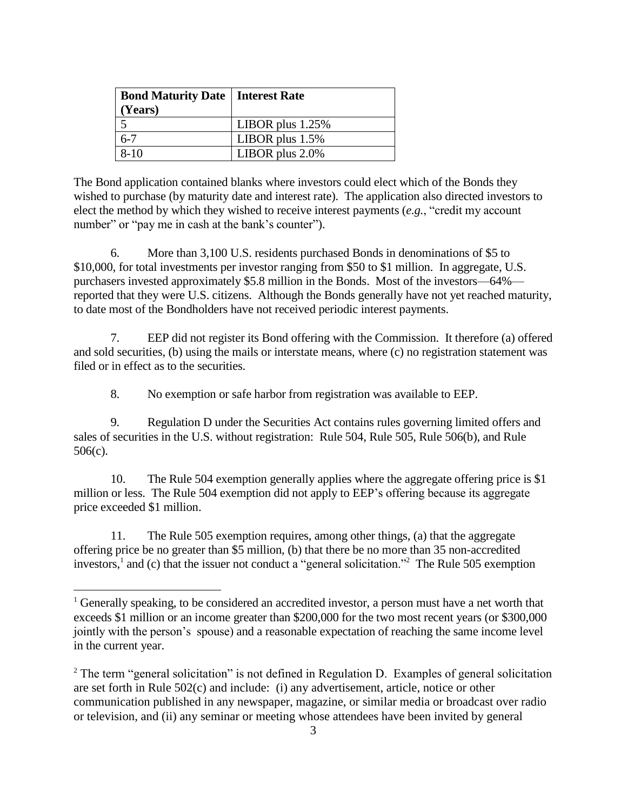| <b>Bond Maturity Date   Interest Rate</b> |                    |
|-------------------------------------------|--------------------|
| (Years)                                   |                    |
|                                           | LIBOR plus $1.25%$ |
| 6-7                                       | LIBOR plus $1.5\%$ |
| $8-10$                                    | LIBOR plus $2.0\%$ |

The Bond application contained blanks where investors could elect which of the Bonds they wished to purchase (by maturity date and interest rate). The application also directed investors to elect the method by which they wished to receive interest payments (*e.g.*, "credit my account number" or "pay me in cash at the bank's counter").

6. More than 3,100 U.S. residents purchased Bonds in denominations of \$5 to \$10,000, for total investments per investor ranging from \$50 to \$1 million. In aggregate, U.S. purchasers invested approximately \$5.8 million in the Bonds. Most of the investors—64% reported that they were U.S. citizens. Although the Bonds generally have not yet reached maturity, to date most of the Bondholders have not received periodic interest payments.

7. EEP did not register its Bond offering with the Commission. It therefore (a) offered and sold securities, (b) using the mails or interstate means, where (c) no registration statement was filed or in effect as to the securities.

8. No exemption or safe harbor from registration was available to EEP.

9. Regulation D under the Securities Act contains rules governing limited offers and sales of securities in the U.S. without registration: Rule 504, Rule 505, Rule 506(b), and Rule 506(c).

10. The Rule 504 exemption generally applies where the aggregate offering price is \$1 million or less. The Rule 504 exemption did not apply to EEP's offering because its aggregate price exceeded \$1 million.

11. The Rule 505 exemption requires, among other things, (a) that the aggregate offering price be no greater than \$5 million, (b) that there be no more than 35 non-accredited investors,<sup>1</sup> and (c) that the issuer not conduct a "general solicitation."<sup>2</sup> The Rule 505 exemption

 $\overline{a}$ 

<sup>&</sup>lt;sup>1</sup> Generally speaking, to be considered an accredited investor, a person must have a net worth that exceeds \$1 million or an income greater than \$200,000 for the two most recent years (or \$300,000 jointly with the person's spouse) and a reasonable expectation of reaching the same income level in the current year.

 $2$  The term "general solicitation" is not defined in Regulation D. Examples of general solicitation are set forth in Rule 502(c) and include: (i) any advertisement, article, notice or other communication published in any newspaper, magazine, or similar media or broadcast over radio or television, and (ii) any seminar or meeting whose attendees have been invited by general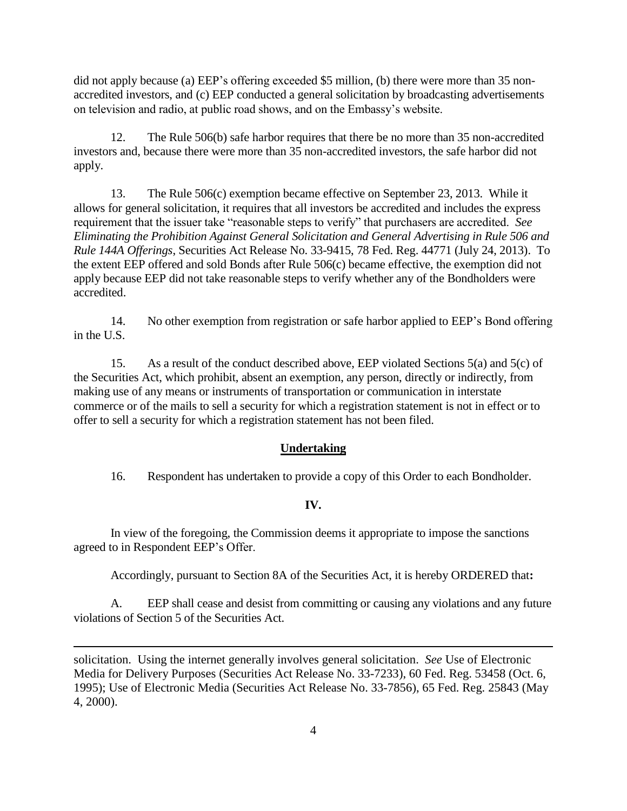did not apply because (a) EEP's offering exceeded \$5 million, (b) there were more than 35 nonaccredited investors, and (c) EEP conducted a general solicitation by broadcasting advertisements on television and radio, at public road shows, and on the Embassy's website.

12. The Rule 506(b) safe harbor requires that there be no more than 35 non-accredited investors and, because there were more than 35 non-accredited investors, the safe harbor did not apply.

13. The Rule 506(c) exemption became effective on September 23, 2013. While it allows for general solicitation, it requires that all investors be accredited and includes the express requirement that the issuer take "reasonable steps to verify" that purchasers are accredited. *See Eliminating the Prohibition Against General Solicitation and General Advertising in Rule 506 and Rule 144A Offerings*, Securities Act Release No. 33-9415, 78 Fed. Reg. 44771 (July 24, 2013). To the extent EEP offered and sold Bonds after Rule 506(c) became effective, the exemption did not apply because EEP did not take reasonable steps to verify whether any of the Bondholders were accredited.

14. No other exemption from registration or safe harbor applied to EEP's Bond offering in the U.S.

15. As a result of the conduct described above, EEP violated Sections 5(a) and 5(c) of the Securities Act, which prohibit, absent an exemption, any person, directly or indirectly, from making use of any means or instruments of transportation or communication in interstate commerce or of the mails to sell a security for which a registration statement is not in effect or to offer to sell a security for which a registration statement has not been filed.

# **Undertaking**

16. Respondent has undertaken to provide a copy of this Order to each Bondholder.

## **IV.**

In view of the foregoing, the Commission deems it appropriate to impose the sanctions agreed to in Respondent EEP's Offer.

Accordingly, pursuant to Section 8A of the Securities Act, it is hereby ORDERED that**:**

A. EEP shall cease and desist from committing or causing any violations and any future violations of Section 5 of the Securities Act.

solicitation. Using the internet generally involves general solicitation. *See* Use of Electronic Media for Delivery Purposes (Securities Act Release No. 33-7233), 60 Fed. Reg. 53458 (Oct. 6, 1995); Use of Electronic Media (Securities Act Release No. 33-7856), 65 Fed. Reg. 25843 (May 4, 2000).

 $\overline{a}$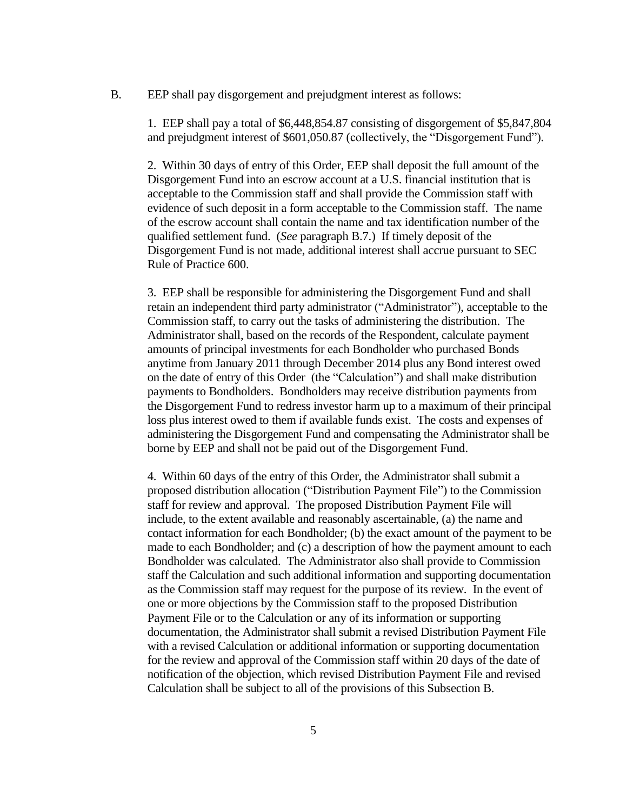#### B. EEP shall pay disgorgement and prejudgment interest as follows:

1. EEP shall pay a total of \$6,448,854.87 consisting of disgorgement of \$5,847,804 and prejudgment interest of \$601,050.87 (collectively, the "Disgorgement Fund").

2. Within 30 days of entry of this Order, EEP shall deposit the full amount of the Disgorgement Fund into an escrow account at a U.S. financial institution that is acceptable to the Commission staff and shall provide the Commission staff with evidence of such deposit in a form acceptable to the Commission staff. The name of the escrow account shall contain the name and tax identification number of the qualified settlement fund. (*See* paragraph B.7.) If timely deposit of the Disgorgement Fund is not made, additional interest shall accrue pursuant to SEC Rule of Practice 600.

3. EEP shall be responsible for administering the Disgorgement Fund and shall retain an independent third party administrator ("Administrator"), acceptable to the Commission staff, to carry out the tasks of administering the distribution. The Administrator shall, based on the records of the Respondent, calculate payment amounts of principal investments for each Bondholder who purchased Bonds anytime from January 2011 through December 2014 plus any Bond interest owed on the date of entry of this Order (the "Calculation") and shall make distribution payments to Bondholders. Bondholders may receive distribution payments from the Disgorgement Fund to redress investor harm up to a maximum of their principal loss plus interest owed to them if available funds exist. The costs and expenses of administering the Disgorgement Fund and compensating the Administrator shall be borne by EEP and shall not be paid out of the Disgorgement Fund.

4. Within 60 days of the entry of this Order, the Administrator shall submit a proposed distribution allocation ("Distribution Payment File") to the Commission staff for review and approval. The proposed Distribution Payment File will include, to the extent available and reasonably ascertainable, (a) the name and contact information for each Bondholder; (b) the exact amount of the payment to be made to each Bondholder; and (c) a description of how the payment amount to each Bondholder was calculated. The Administrator also shall provide to Commission staff the Calculation and such additional information and supporting documentation as the Commission staff may request for the purpose of its review. In the event of one or more objections by the Commission staff to the proposed Distribution Payment File or to the Calculation or any of its information or supporting documentation, the Administrator shall submit a revised Distribution Payment File with a revised Calculation or additional information or supporting documentation for the review and approval of the Commission staff within 20 days of the date of notification of the objection, which revised Distribution Payment File and revised Calculation shall be subject to all of the provisions of this Subsection B.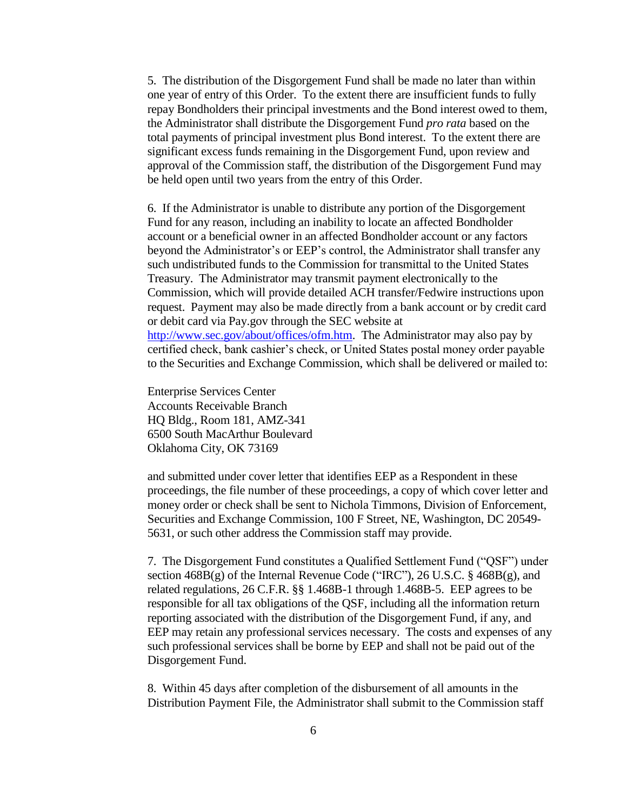5. The distribution of the Disgorgement Fund shall be made no later than within one year of entry of this Order. To the extent there are insufficient funds to fully repay Bondholders their principal investments and the Bond interest owed to them, the Administrator shall distribute the Disgorgement Fund *pro rata* based on the total payments of principal investment plus Bond interest. To the extent there are significant excess funds remaining in the Disgorgement Fund, upon review and approval of the Commission staff, the distribution of the Disgorgement Fund may be held open until two years from the entry of this Order.

6. If the Administrator is unable to distribute any portion of the Disgorgement Fund for any reason, including an inability to locate an affected Bondholder account or a beneficial owner in an affected Bondholder account or any factors beyond the Administrator's or EEP's control, the Administrator shall transfer any such undistributed funds to the Commission for transmittal to the United States Treasury. The Administrator may transmit payment electronically to the Commission, which will provide detailed ACH transfer/Fedwire instructions upon request. Payment may also be made directly from a bank account or by credit card or debit card via Pay.gov through the SEC website at http://www.sec.gov/about/offices/ofm.htm. The Administrator may also pay by certified check, bank cashier's check, or United States postal money order payable to the Securities and Exchange Commission, which shall be delivered or mailed to:

Enterprise Services Center Accounts Receivable Branch HQ Bldg., Room 181, AMZ-341 6500 South MacArthur Boulevard Oklahoma City, OK 73169

and submitted under cover letter that identifies EEP as a Respondent in these proceedings, the file number of these proceedings, a copy of which cover letter and money order or check shall be sent to Nichola Timmons, Division of Enforcement, Securities and Exchange Commission, 100 F Street, NE, Washington, DC 20549- 5631, or such other address the Commission staff may provide.

7. The Disgorgement Fund constitutes a Qualified Settlement Fund ("QSF") under section  $468B(g)$  of the Internal Revenue Code ("IRC"), 26 U.S.C. §  $468B(g)$ , and related regulations, 26 C.F.R. §§ 1.468B-1 through 1.468B-5. EEP agrees to be responsible for all tax obligations of the QSF, including all the information return reporting associated with the distribution of the Disgorgement Fund, if any, and EEP may retain any professional services necessary. The costs and expenses of any such professional services shall be borne by EEP and shall not be paid out of the Disgorgement Fund.

8. Within 45 days after completion of the disbursement of all amounts in the Distribution Payment File, the Administrator shall submit to the Commission staff